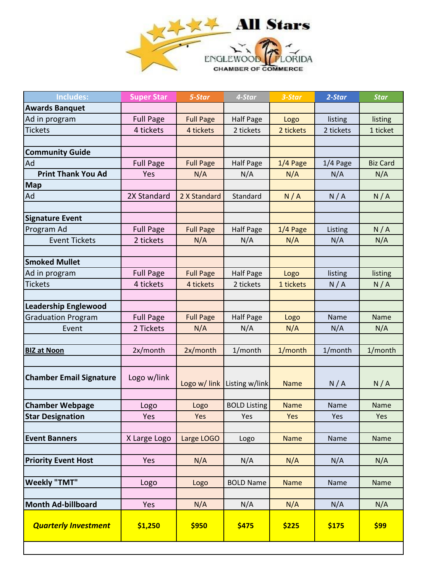

| <b>Includes:</b>               | <b>Super Star</b> | 5-Star           | 4-Star                        | 3-Star      | 2-Star     | <b>Star</b>     |
|--------------------------------|-------------------|------------------|-------------------------------|-------------|------------|-----------------|
| <b>Awards Banquet</b>          |                   |                  |                               |             |            |                 |
| Ad in program                  | <b>Full Page</b>  | <b>Full Page</b> | <b>Half Page</b>              | Logo        | listing    | listing         |
| <b>Tickets</b>                 | 4 tickets         | 4 tickets        | 2 tickets                     | 2 tickets   | 2 tickets  | 1 ticket        |
|                                |                   |                  |                               |             |            |                 |
| <b>Community Guide</b>         |                   |                  |                               |             |            |                 |
| Ad                             | <b>Full Page</b>  | <b>Full Page</b> | <b>Half Page</b>              | $1/4$ Page  | $1/4$ Page | <b>Biz Card</b> |
| <b>Print Thank You Ad</b>      | Yes               | N/A              | N/A                           | N/A         | N/A        | N/A             |
| <b>Map</b>                     |                   |                  |                               |             |            |                 |
| Ad                             | 2X Standard       | 2 X Standard     | Standard                      | N/A         | N/A        | N/A             |
|                                |                   |                  |                               |             |            |                 |
| <b>Signature Event</b>         |                   |                  |                               |             |            |                 |
| Program Ad                     | <b>Full Page</b>  | <b>Full Page</b> | <b>Half Page</b>              | 1/4 Page    | Listing    | N/A             |
| <b>Event Tickets</b>           | 2 tickets         | N/A              | N/A                           | N/A         | N/A        | N/A             |
|                                |                   |                  |                               |             |            |                 |
| <b>Smoked Mullet</b>           |                   |                  |                               |             |            |                 |
| Ad in program                  | <b>Full Page</b>  | <b>Full Page</b> | <b>Half Page</b>              | Logo        | listing    | listing         |
| <b>Tickets</b>                 | 4 tickets         | 4 tickets        | 2 tickets                     | 1 tickets   | N/A        | N/A             |
|                                |                   |                  |                               |             |            |                 |
| <b>Leadership Englewood</b>    |                   |                  |                               |             |            |                 |
| <b>Graduation Program</b>      | <b>Full Page</b>  | <b>Full Page</b> | <b>Half Page</b>              | Logo        | Name       | Name            |
| Event                          | 2 Tickets         | N/A              | N/A                           | N/A         | N/A        | N/A             |
|                                |                   |                  |                               |             |            |                 |
| <b>BIZ at Noon</b>             | 2x/month          | 2x/month         | 1/month                       | 1/month     | 1/month    | 1/month         |
|                                |                   |                  |                               |             |            |                 |
| <b>Chamber Email Signature</b> | Logo w/link       |                  |                               |             |            |                 |
|                                |                   |                  | Logo w/ link   Listing w/link | <b>Name</b> | N/A        | N/A             |
| <b>Chamber Webpage</b>         | Logo              | Logo             | <b>BOLD Listing</b>           | <b>Name</b> | Name       | Name            |
| <b>Star Designation</b>        | Yes               | Yes              | Yes                           | Yes         | Yes        | Yes             |
|                                |                   |                  |                               |             |            |                 |
| <b>Event Banners</b>           | X Large Logo      | Large LOGO       | Logo                          | <b>Name</b> | Name       | Name            |
|                                |                   |                  |                               |             |            |                 |
| <b>Priority Event Host</b>     | Yes               | N/A              | N/A                           | N/A         | N/A        | N/A             |
|                                |                   |                  |                               |             |            |                 |
| <b>Weekly "TMT"</b>            | Logo              | Logo             | <b>BOLD Name</b>              | <b>Name</b> | Name       | Name            |
|                                |                   |                  |                               |             |            |                 |
| <b>Month Ad-billboard</b>      | Yes               | N/A              | N/A                           | N/A         | N/A        | N/A             |
| <b>Quarterly Investment</b>    | \$1,250           | \$950            | \$475                         | \$225       | \$175      | \$99            |
|                                |                   |                  |                               |             |            |                 |
|                                |                   |                  |                               |             |            |                 |